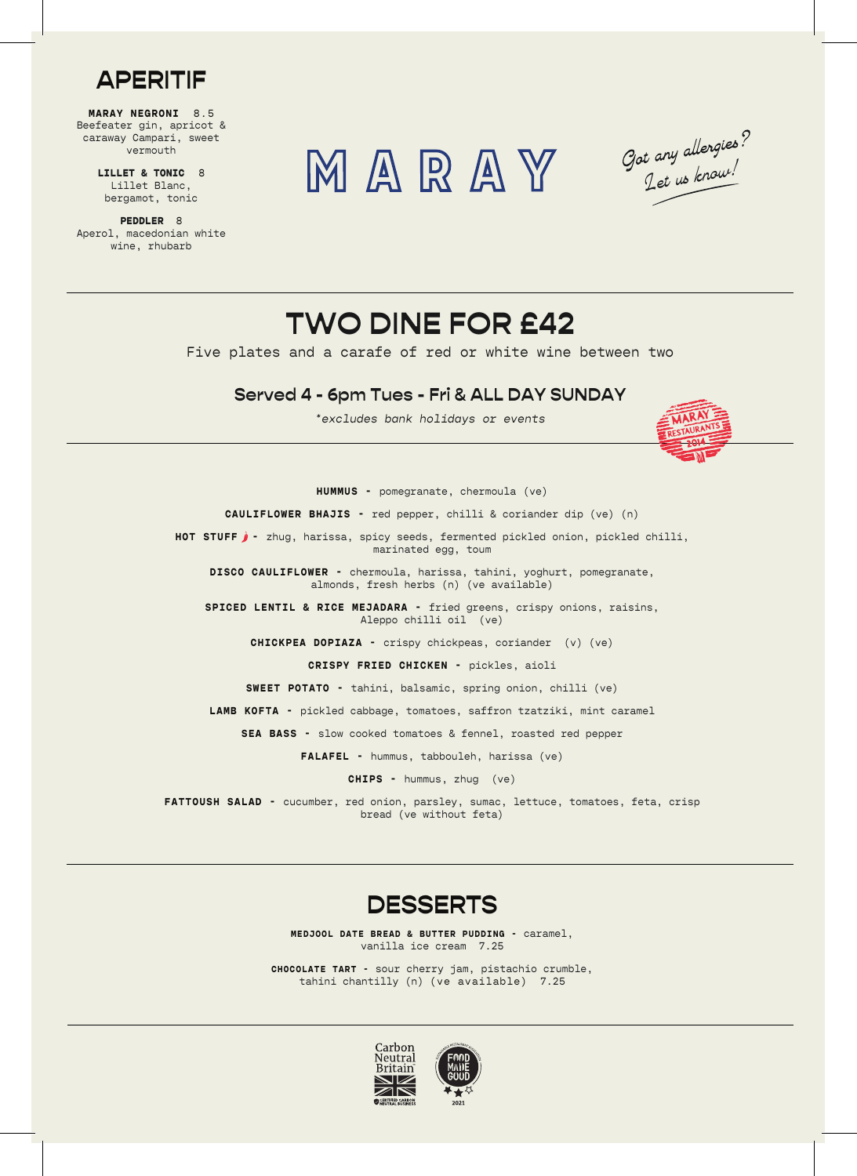

**MARAY NEGRONI** 8.5 Beefeater gin, apricot & caraway Campari, sweet vermouth

> **LILLET & TONIC** 8 Lillet Blanc, bergamot, tonic

**PEDDLER** 8 Aperol, macedonian white wine, rhubarb





## **TWO DINE FOR £42**

Five plates and a carafe of red or white wine between two

## **Served 4 - 6pm Tues - Fri & ALL DAY SUNDAY**

 $*$ excludes bank holidays or events



**HUMMUS -** pomegranate, chermoula (ve)

**CAULIFLOWER BHAJIS -** red pepper, chilli & coriander dip (ve) (n)

HOT STUFF  $j$  - zhug, harissa, spicy seeds, fermented pickled onion, pickled chilli, marinated egg, toum

**DISCO CAULIFLOWER -** chermoula, harissa, tahini, yoghurt, pomegranate, almonds, fresh herbs (n) (ve available)

**SPICED LENTIL & RICE MEJADARA -** fried greens, crispy onions, raisins, Aleppo chilli oil (ve)

**CHICKPEA DOPIAZA -** crispy chickpeas, coriander (v) (ve)

**CRISPY FRIED CHICKEN -** pickles, aioli

**SWEET POTATO -** tahini, balsamic, spring onion, chilli (ve)

**LAMB KOFTA -** pickled cabbage, tomatoes, saffron tzatziki, mint caramel

**SEA BASS -** slow cooked tomatoes & fennel, roasted red pepper

**FALAFEL -** hummus, tabbouleh, harissa (ve)

**CHIPS -** hummus, zhug (ve)

**FATTOUSH SALAD -** cucumber, red onion, parsley, sumac, lettuce, tomatoes, feta, crisp bread (ve without feta)



**MEDJOOL DATE BREAD & BUTTER PUDDING -** caramel, vanilla ice cream 7.25

**CHOCOLATE TART -** sour cherry jam, pistachio crumble, tahini chantilly (n) (ve available) 7.25